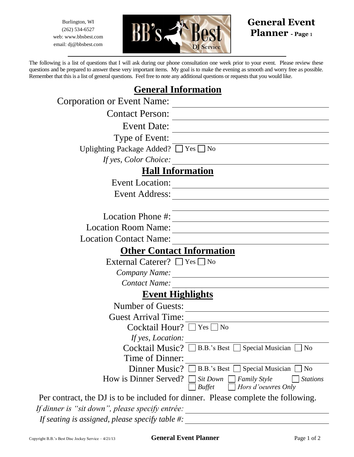Burlington, WI (262) 534-6527 web: www.bbsbest.com email: dj@bbsbest.com



## **General Event Planner - Page** <sup>1</sup>

The following is a list of questions that I will ask during our phone consultation one week prior to your event. Please review these questions and be prepared to answer these very important items. My goal is to make the evening as smooth and worry free as possible. Remember that this is a list of general questions. Feel free to note any additional questions or requests that you would like.

## **General Information**

| Corporation or Event Name:                          |                                                                                            |  |
|-----------------------------------------------------|--------------------------------------------------------------------------------------------|--|
| <b>Contact Person:</b>                              |                                                                                            |  |
| <b>Event Date:</b>                                  |                                                                                            |  |
| Type of Event:                                      |                                                                                            |  |
| <b>Uplighting Package Added?</b>                    | $\left\lfloor \frac{1}{10} \right\rfloor$ No                                               |  |
| If yes, Color Choice:                               |                                                                                            |  |
| <b>Hall Information</b>                             |                                                                                            |  |
| <b>Event Location:</b>                              |                                                                                            |  |
| <b>Event Address:</b>                               |                                                                                            |  |
|                                                     |                                                                                            |  |
| Location Phone #:                                   |                                                                                            |  |
| <b>Location Room Name:</b>                          |                                                                                            |  |
| <b>Location Contact Name:</b>                       |                                                                                            |  |
| <b>Other Contact Information</b>                    |                                                                                            |  |
| External Caterer? $\Box$ Yes                        | $\overline{\phantom{a}}$ No                                                                |  |
| Company Name:                                       |                                                                                            |  |
| <b>Contact Name:</b>                                |                                                                                            |  |
| <b>Event Highlights</b>                             |                                                                                            |  |
| <b>Number of Guests:</b>                            |                                                                                            |  |
| <b>Guest Arrival Time:</b>                          |                                                                                            |  |
| Cocktail Hour? [                                    | $ Yes $   No                                                                               |  |
| If yes, Location:                                   |                                                                                            |  |
| Cocktail Music?                                     | B.B.'s Best   Special Musician<br>N <sub>o</sub>                                           |  |
| Time of Dinner:                                     |                                                                                            |  |
| Dinner Music?                                       | B.B.'s Best   Special Musician<br>N <sub>o</sub>                                           |  |
| How is Dinner Served?                               | <b>Stations</b><br>Sit Down<br><b>Family Style</b><br>Hors d'oeuvres Only<br><b>Buffet</b> |  |
|                                                     | Per contract, the DJ is to be included for dinner. Please complete the following.          |  |
| If dinner is "sit down", please specify entrée:     |                                                                                            |  |
| If seating is assigned, please specify table $\#$ : |                                                                                            |  |